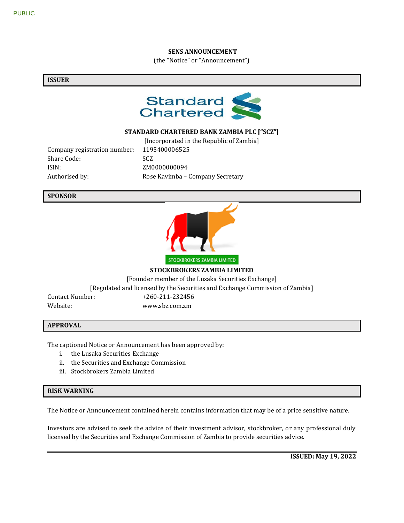#### **SENS ANNOUNCEMENT**

(the "Notice" or "Announcement")

#### **ISSUER**



## **STANDARD CHARTERED BANK ZAMBIA PLC ["SCZ"]**

Company registration number: 1195400006525 Share Code: SCZ ISIN: ZM0000000094

[Incorporated in the Republic of Zambia] Authorised by: Rose Kavimba – Company Secretary

### **SPONSOR**



**STOCKBROKERS ZAMBIA LIMITED**

[Founder member of the Lusaka Securities Exchange]

[Regulated and licensed by the Securities and Exchange Commission of Zambia]

Contact Number: +260-211-232456 Website: www.sbz.com.zm

#### **APPROVAL**

The captioned Notice or Announcement has been approved by:

- i. the Lusaka Securities Exchange
- ii. the Securities and Exchange Commission
- iii. Stockbrokers Zambia Limited

#### **RISK WARNING**

The Notice or Announcement contained herein contains information that may be of a price sensitive nature.

Investors are advised to seek the advice of their investment advisor, stockbroker, or any professional duly licensed by the Securities and Exchange Commission of Zambia to provide securities advice.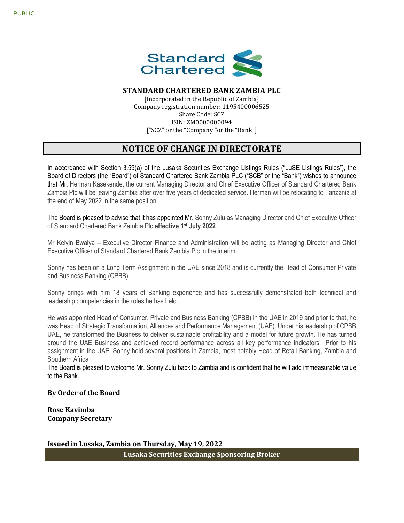

## **STANDARD CHARTERED BANK ZAMBIA PLC**

[Incorporated in the Republic of Zambia] Company registration number: 1195400006525 Share Code: SCZ ISIN: ZM0000000094 ["SCZ" or the "Company "or the "Bank"]

# **NOTICE OF CHANGE IN DIRECTORATE**

In accordance with Section 3.59(a) of the Lusaka Securities Exchange Listings Rules ("LuSE Listings Rules"), the Board of Directors (the "Board") of Standard Chartered Bank Zambia PLC ("SCB" or the "Bank") wishes to announce that Mr. Herman Kasekende, the current Managing Director and Chief Executive Officer of Standard Chartered Bank Zambia Plc will be leaving Zambia after over five years of dedicated service. Herman will be relocating to Tanzania at the end of May 2022 in the same position

The Board is pleased to advise that it has appointed Mr. Sonny Zulu as Managing Director and Chief Executive Officer of Standard Chartered Bank Zambia Plc **effective 1st July 2022**.

Mr Kelvin Bwalya – Executive Director Finance and Administration will be acting as Managing Director and Chief Executive Officer of Standard Chartered Bank Zambia Plc in the interim.

Sonny has been on a Long Term Assignment in the UAE since 2018 and is currently the Head of Consumer Private and Business Banking (CPBB).

Sonny brings with him 18 years of Banking experience and has successfully demonstrated both technical and leadership competencies in the roles he has held.

He was appointed Head of Consumer, Private and Business Banking (CPBB) in the UAE in 2019 and prior to that, he was Head of Strategic Transformation, Alliances and Performance Management (UAE). Under his leadership of CPBB UAE, he transformed the Business to deliver sustainable profitability and a model for future growth. He has turned around the UAE Business and achieved record performance across all key performance indicators. Prior to his assignment in the UAE, Sonny held several positions in Zambia, most notably Head of Retail Banking, Zambia and Southern Africa

The Board is pleased to welcome Mr. Sonny Zulu back to Zambia and is confident that he will add immeasurable value to the Bank.

#### **By Order of the Board**

**Rose Kavimba Company Secretary**

**Issued in Lusaka, Zambia on Thursday, May 19, 2022 Lusaka Securities Exchange Sponsoring Broker**